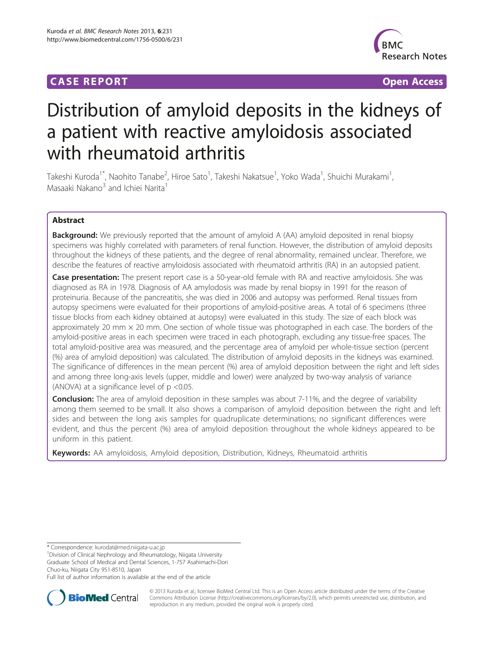# **CASE REPORT CASE REPORT CASE REPORT**



# Distribution of amyloid deposits in the kidneys of a patient with reactive amyloidosis associated with rheumatoid arthritis

Takeshi Kuroda<sup>1\*</sup>, Naohito Tanabe<sup>2</sup>, Hiroe Sato<sup>1</sup>, Takeshi Nakatsue<sup>1</sup>, Yoko Wada<sup>1</sup>, Shuichi Murakami<sup>1</sup> , Masaaki Nakano<sup>3</sup> and Ichiei Narita<sup>1</sup>

# Abstract

**Background:** We previously reported that the amount of amyloid A (AA) amyloid deposited in renal biopsy specimens was highly correlated with parameters of renal function. However, the distribution of amyloid deposits throughout the kidneys of these patients, and the degree of renal abnormality, remained unclear. Therefore, we describe the features of reactive amyloidosis associated with rheumatoid arthritis (RA) in an autopsied patient.

**Case presentation:** The present report case is a 50-year-old female with RA and reactive amyloidosis. She was diagnosed as RA in 1978. Diagnosis of AA amylodosis was made by renal biopsy in 1991 for the reason of proteinuria. Because of the pancreatitis, she was died in 2006 and autopsy was performed. Renal tissues from autopsy specimens were evaluated for their proportions of amyloid-positive areas. A total of 6 specimens (three tissue blocks from each kidney obtained at autopsy) were evaluated in this study. The size of each block was approximately 20 mm  $\times$  20 mm. One section of whole tissue was photographed in each case. The borders of the amyloid-positive areas in each specimen were traced in each photograph, excluding any tissue-free spaces. The total amyloid-positive area was measured, and the percentage area of amyloid per whole-tissue section (percent (%) area of amyloid deposition) was calculated. The distribution of amyloid deposits in the kidneys was examined. The significance of differences in the mean percent (%) area of amyloid deposition between the right and left sides and among three long-axis levels (upper, middle and lower) were analyzed by two-way analysis of variance (ANOVA) at a significance level of p <0.05.

**Conclusion:** The area of amyloid deposition in these samples was about 7-11%, and the degree of variability among them seemed to be small. It also shows a comparison of amyloid deposition between the right and left sides and between the long axis samples for quadruplicate determinations; no significant differences were evident, and thus the percent (%) area of amyloid deposition throughout the whole kidneys appeared to be uniform in this patient.

Keywords: AA amyloidosis, Amyloid deposition, Distribution, Kidneys, Rheumatoid arthritis

\* Correspondence: [kurodat@med.niigata-u.ac.jp](mailto:kurodat@med.niigata-u.ac.jp) <sup>1</sup>

Division of Clinical Nephrology and Rheumatology, Niigata University Graduate School of Medical and Dental Sciences, 1-757 Asahimachi-Dori

Chuo-ku, Niigata City 951-8510, Japan

Full list of author information is available at the end of the article



© 2013 Kuroda et al.; licensee BioMed Central Ltd. This is an Open Access article distributed under the terms of the Creative Commons Attribution License [\(http://creativecommons.org/licenses/by/2.0\)](http://creativecommons.org/licenses/by/2.0), which permits unrestricted use, distribution, and reproduction in any medium, provided the original work is properly cited.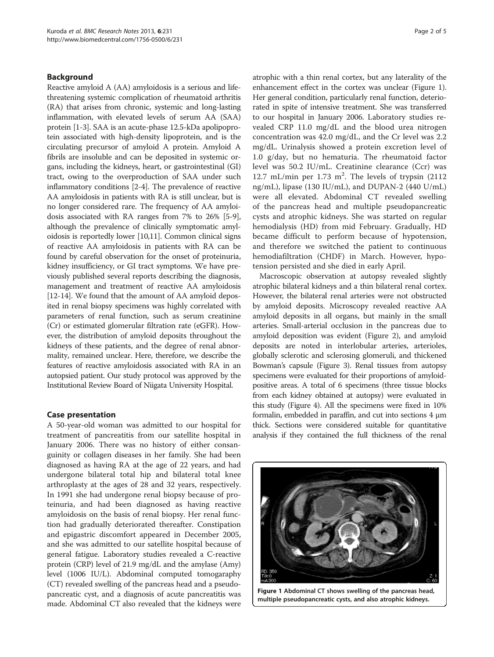# Background

Reactive amyloid A (AA) amyloidosis is a serious and lifethreatening systemic complication of rheumatoid arthritis (RA) that arises from chronic, systemic and long-lasting inflammation, with elevated levels of serum AA (SAA) protein [\[1](#page-4-0)-[3](#page-4-0)]. SAA is an acute-phase 12.5-kDa apolipoprotein associated with high-density lipoprotein, and is the circulating precursor of amyloid A protein. Amyloid A fibrils are insoluble and can be deposited in systemic organs, including the kidneys, heart, or gastrointestinal (GI) tract, owing to the overproduction of SAA under such inflammatory conditions [\[2-4](#page-4-0)]. The prevalence of reactive AA amyloidosis in patients with RA is still unclear, but is no longer considered rare. The frequency of AA amyloidosis associated with RA ranges from 7% to 26% [\[5](#page-4-0)-[9](#page-4-0)], although the prevalence of clinically symptomatic amyloidosis is reportedly lower [[10,11](#page-4-0)]. Common clinical signs of reactive AA amyloidosis in patients with RA can be found by careful observation for the onset of proteinuria, kidney insufficiency, or GI tract symptoms. We have previously published several reports describing the diagnosis, management and treatment of reactive AA amyloidosis [[12](#page-4-0)-[14\]](#page-4-0). We found that the amount of AA amyloid deposited in renal biopsy specimens was highly correlated with parameters of renal function, such as serum creatinine (Cr) or estimated glomerular filtration rate (eGFR). However, the distribution of amyloid deposits throughout the kidneys of these patients, and the degree of renal abnormality, remained unclear. Here, therefore, we describe the features of reactive amyloidosis associated with RA in an autopsied patient. Our study protocol was approved by the Institutional Review Board of Niigata University Hospital.

## Case presentation

A 50-year-old woman was admitted to our hospital for treatment of pancreatitis from our satellite hospital in January 2006. There was no history of either consanguinity or collagen diseases in her family. She had been diagnosed as having RA at the age of 22 years, and had undergone bilateral total hip and bilateral total knee arthroplasty at the ages of 28 and 32 years, respectively. In 1991 she had undergone renal biopsy because of proteinuria, and had been diagnosed as having reactive amyloidosis on the basis of renal biopsy. Her renal function had gradually deteriorated thereafter. Constipation and epigastric discomfort appeared in December 2005, and she was admitted to our satellite hospital because of general fatigue. Laboratory studies revealed a C-reactive protein (CRP) level of 21.9 mg/dL and the amylase (Amy) level (1006 IU/L). Abdominal computed tomogaraphy (CT) revealed swelling of the pancreas head and a pseudopancreatic cyst, and a diagnosis of acute pancreatitis was made. Abdominal CT also revealed that the kidneys were

atrophic with a thin renal cortex, but any laterality of the enhancement effect in the cortex was unclear (Figure 1). Her general condition, particularly renal function, deteriorated in spite of intensive treatment. She was transferred to our hospital in January 2006. Laboratory studies revealed CRP 11.0 mg/dL and the blood urea nitrogen concentration was 42.0 mg/dL, and the Cr level was 2.2 mg/dL. Urinalysis showed a protein excretion level of 1.0 g/day, but no hematuria. The rheumatoid factor level was 50.2 IU/mL. Creatinine clearance (Ccr) was 12.7 mL/min per 1.73  $m^2$ . The levels of trypsin (2112 ng/mL), lipase (130 IU/mL), and DUPAN-2 (440 U/mL) were all elevated. Abdominal CT revealed swelling of the pancreas head and multiple pseudopancreatic cysts and atrophic kidneys. She was started on regular hemodialysis (HD) from mid February. Gradually, HD became difficult to perform because of hypotension, and therefore we switched the patient to continuous hemodiafiltration (CHDF) in March. However, hypotension persisted and she died in early April.

Macroscopic observation at autopsy revealed slightly atrophic bilateral kidneys and a thin bilateral renal cortex. However, the bilateral renal arteries were not obstructed by amyloid deposits. Microscopy revealed reactive AA amyloid deposits in all organs, but mainly in the small arteries. Small-arterial occlusion in the pancreas due to amyloid deposition was evident (Figure [2\)](#page-2-0), and amyloid deposits are noted in interlobular arteries, arterioles, globally sclerotic and sclerosing glomeruli, and thickened Bowman's capsule (Figure [3\)](#page-2-0). Renal tissues from autopsy specimens were evaluated for their proportions of amyloidpositive areas. A total of 6 specimens (three tissue blocks from each kidney obtained at autopsy) were evaluated in this study (Figure [4\)](#page-2-0). All the specimens were fixed in 10% formalin, embedded in paraffin, and cut into sections 4 μm thick. Sections were considered suitable for quantitative analysis if they contained the full thickness of the renal



Figure 1 Abdominal CT shows swelling of the pancreas head, multiple pseudopancreatic cysts, and also atrophic kidneys.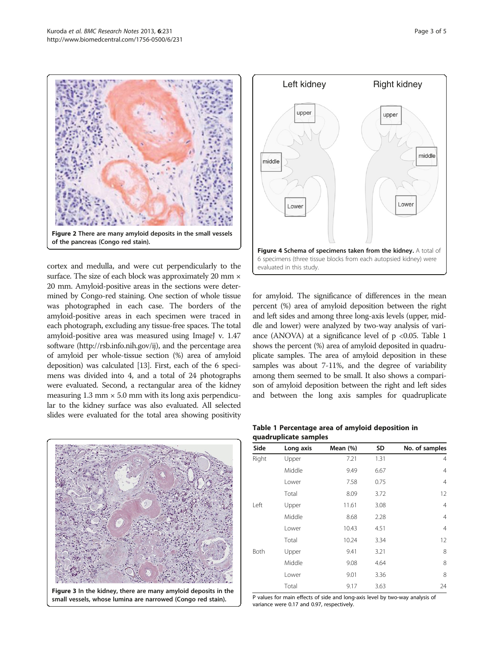<span id="page-2-0"></span>

cortex and medulla, and were cut perpendicularly to the surface. The size of each block was approximately 20 mm  $\times$ 20 mm. Amyloid-positive areas in the sections were determined by Congo-red staining. One section of whole tissue was photographed in each case. The borders of the amyloid-positive areas in each specimen were traced in each photograph, excluding any tissue-free spaces. The total amyloid-positive area was measured using ImageJ v. 1.47 software [\(http://rsb.info.nih.gov/ij\)](http://rsb.info.nih.gov/ij), and the percentage area of amyloid per whole-tissue section (%) area of amyloid deposition) was calculated [\[13\]](#page-4-0). First, each of the 6 specimens was divided into 4, and a total of 24 photographs were evaluated. Second, a rectangular area of the kidney measuring  $1.3$  mm  $\times$  5.0 mm with its long axis perpendicular to the kidney surface was also evaluated. All selected slides were evaluated for the total area showing positivity



Figure 3 In the kidney, there are many amyloid deposits in the small vessels, whose lumina are narrowed (Congo red stain).



for amyloid. The significance of differences in the mean percent (%) area of amyloid deposition between the right and left sides and among three long-axis levels (upper, middle and lower) were analyzed by two-way analysis of variance (ANOVA) at a significance level of  $p < 0.05$ . Table 1 shows the percent (%) area of amyloid deposited in quadruplicate samples. The area of amyloid deposition in these samples was about 7-11%, and the degree of variability among them seemed to be small. It also shows a comparison of amyloid deposition between the right and left sides and between the long axis samples for quadruplicate

### Table 1 Percentage area of amyloid deposition in quadruplicate samples

| Side  | Long axis | Mean (%) | <b>SD</b> | No. of samples |
|-------|-----------|----------|-----------|----------------|
| Right | Upper     | 7.21     | 1.31      | 4              |
|       | Middle    | 9.49     | 6.67      | 4              |
|       | Lower     | 7.58     | 0.75      | $\overline{4}$ |
|       | Total     | 8.09     | 3.72      | 12             |
| Left  | Upper     | 11.61    | 3.08      | $\overline{4}$ |
|       | Middle    | 8.68     | 2.28      | 4              |
|       | Lower     | 10.43    | 4.51      | $\overline{4}$ |
|       | Total     | 10.24    | 3.34      | 12             |
| Both  | Upper     | 9.41     | 3.21      | 8              |
|       | Middle    | 9.08     | 4.64      | 8              |
|       | Lower     | 9.01     | 3.36      | 8              |
|       | Total     | 9.17     | 3.63      | 24             |

P values for main effects of side and long-axis level by two-way analysis of variance were 0.17 and 0.97, respectively.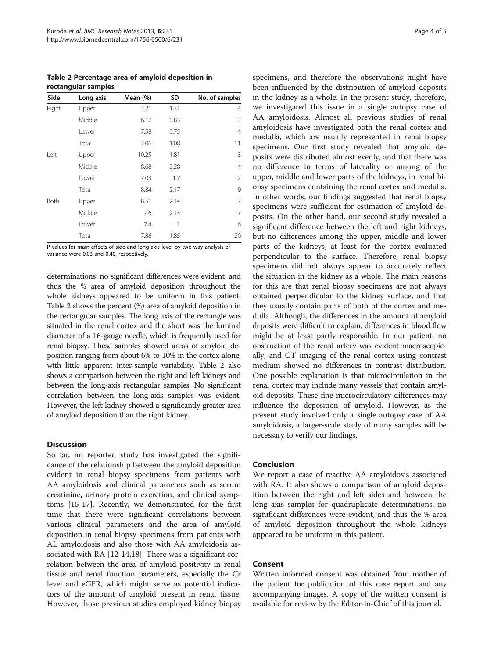Table 2 Percentage area of amyloid deposition in rectangular samples

| Side  | Long axis | Mean (%) | SD   | No. of samples |
|-------|-----------|----------|------|----------------|
| Right | Upper     | 7.21     | 1.31 | 4              |
|       | Middle    | 6.17     | 0.83 | 3              |
|       | Lower     | 7.58     | 0.75 | 4              |
|       | Total     | 7.06     | 1.08 | 11             |
| Left  | Upper     | 10.25    | 1.81 | 3              |
|       | Middle    | 8.68     | 2.28 | $\overline{4}$ |
|       | Lower     | 7.03     | 1.7  | 2              |
|       | Total     | 8.84     | 2.17 | 9              |
| Both  | Upper     | 8.51     | 2.14 | 7              |
|       | Middle    | 7.6      | 2.15 | 7              |
|       | Lower     | 7.4      | 1    | 6              |
|       | Total     | 7.86     | 1.85 | 20             |

P values for main effects of side and long-axis level by two-way analysis of variance were 0.03 and 0.40, respectively.

determinations; no significant differences were evident, and thus the % area of amyloid deposition throughout the whole kidneys appeared to be uniform in this patient. Table 2 shows the percent (%) area of amyloid deposition in the rectangular samples. The long axis of the rectangle was situated in the renal cortex and the short was the luminal diameter of a 16-gauge needle, which is frequently used for renal biopsy. These samples showed areas of amyloid deposition ranging from about 6% to 10% in the cortex alone, with little apparent inter-sample variability. Table 2 also shows a comparison between the right and left kidneys and between the long-axis rectangular samples. No significant correlation between the long-axis samples was evident. However, the left kidney showed a significantly greater area of amyloid deposition than the right kidney.

## **Discussion**

So far, no reported study has investigated the significance of the relationship between the amyloid deposition evident in renal biopsy specimens from patients with AA amyloidosis and clinical parameters such as serum creatinine, urinary protein excretion, and clinical symptoms [\[15](#page-4-0)-[17\]](#page-4-0). Recently, we demonstrated for the first time that there were significant correlations between various clinical parameters and the area of amyloid deposition in renal biopsy specimens from patients with AL amyloidosis and also those with AA amyloidosis associated with RA [[12-14,18](#page-4-0)]. There was a significant correlation between the area of amyloid positivity in renal tissue and renal function parameters, especially the Cr level and eGFR, which might serve as potential indicators of the amount of amyloid present in renal tissue. However, those previous studies employed kidney biopsy

specimens, and therefore the observations might have been influenced by the distribution of amyloid deposits in the kidney as a whole. In the present study, therefore, we investigated this issue in a single autopsy case of AA amyloidosis. Almost all previous studies of renal amyloidosis have investigated both the renal cortex and medulla, which are usually represented in renal biopsy specimens. Our first study revealed that amyloid deposits were distributed almost evenly, and that there was no difference in terms of laterality or among of the upper, middle and lower parts of the kidneys, in renal biopsy specimens containing the renal cortex and medulla. In other words, our findings suggested that renal biopsy specimens were sufficient for estimation of amyloid deposits. On the other hand, our second study revealed a significant difference between the left and right kidneys, but no differences among the upper, middle and lower parts of the kidneys, at least for the cortex evaluated perpendicular to the surface. Therefore, renal biopsy specimens did not always appear to accurately reflect the situation in the kidney as a whole. The main reasons for this are that renal biopsy specimens are not always obtained perpendicular to the kidney surface, and that they usually contain parts of both of the cortex and medulla. Although, the differences in the amount of amyloid deposits were difficult to explain, differences in blood flow might be at least partly responsible. In our patient, no obstruction of the renal artery was evident macroscopically, and CT imaging of the renal cortex using contrast medium showed no differences in contrast distribution. One possible explanation is that microcirculation in the renal cortex may include many vessels that contain amyloid deposits. These fine microcirculatory differences may influence the deposition of amyloid. However, as the present study involved only a single autopsy case of AA amyloidosis, a larger-scale study of many samples will be necessary to verify our findings.

# Conclusion

We report a case of reactive AA amyloidosis associated with RA. It also shows a comparison of amyloid deposition between the right and left sides and between the long axis samples for quadruplicate determinations; no significant differences were evident, and thus the % area of amyloid deposition throughout the whole kidneys appeared to be uniform in this patient.

# Consent

Written informed consent was obtained from mother of the patient for publication of this case report and any accompanying images. A copy of the written consent is available for review by the Editor-in-Chief of this journal.